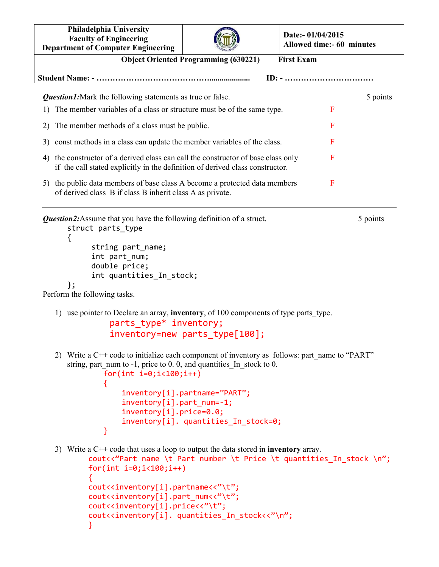**Philadelphia University Faculty of Engineering Department of Computer Engineering**



**Date:- 01/04/2015 Allowed time:- 60 minutes**

|                                                                                                                                                          | осранитет от сопіристі видиненнід                                                                                                                                                                                                                                                                                                                    |          |  |
|----------------------------------------------------------------------------------------------------------------------------------------------------------|------------------------------------------------------------------------------------------------------------------------------------------------------------------------------------------------------------------------------------------------------------------------------------------------------------------------------------------------------|----------|--|
|                                                                                                                                                          | <b>Object Oriented Programming (630221)</b><br><b>First Exam</b>                                                                                                                                                                                                                                                                                     |          |  |
| $ID: - \dots \dots \dots \dots \dots \dots \dots$                                                                                                        |                                                                                                                                                                                                                                                                                                                                                      |          |  |
|                                                                                                                                                          | <b>Question1:</b> Mark the following statements as true or false.                                                                                                                                                                                                                                                                                    | 5 points |  |
| 1)                                                                                                                                                       | The member variables of a class or structure must be of the same type.                                                                                                                                                                                                                                                                               | F        |  |
| 2)                                                                                                                                                       | The member methods of a class must be public.                                                                                                                                                                                                                                                                                                        | F        |  |
|                                                                                                                                                          |                                                                                                                                                                                                                                                                                                                                                      | F        |  |
| 3)                                                                                                                                                       | const methods in a class can update the member variables of the class.                                                                                                                                                                                                                                                                               |          |  |
| 4)                                                                                                                                                       | the constructor of a derived class can call the constructor of base class only<br>if the call stated explicitly in the definition of derived class constructor.                                                                                                                                                                                      | F        |  |
|                                                                                                                                                          | 5) the public data members of base class A become a protected data members<br>of derived class B if class B inherit class A as private.                                                                                                                                                                                                              | F        |  |
|                                                                                                                                                          | <b>Question2:</b> Assume that you have the following definition of a struct.<br>struct parts_type<br>{<br>string part_name;<br>int part_num;<br>double price;<br>int quantities_In_stock;                                                                                                                                                            | 5 points |  |
|                                                                                                                                                          | $\}$ ;<br>Perform the following tasks.                                                                                                                                                                                                                                                                                                               |          |  |
| 1) use pointer to Declare an array, <b>inventory</b> , of 100 components of type parts type.<br>parts_type* inventory;<br>inventory=new parts_type[100]; |                                                                                                                                                                                                                                                                                                                                                      |          |  |
|                                                                                                                                                          | Write a C++ code to initialize each component of inventory as follows: part name to "PART"<br>2)<br>string, part num to $-1$ , price to 0.0, and quantities In stock to 0.<br>$for(int i=0; i<100; i++)$<br>inventory[i].partname="PART";<br>$inventropy[i].part_name=1;$<br>$inventropy[i].price=0.0;$<br>inventory[i]. quantities In stock=0;<br>} |          |  |
|                                                                                                                                                          | 3) Write a $C++$ code that uses a loop to output the data stored in <b>inventory</b> array.<br>cout<<"Part name \t Part number \t Price \t quantities_In_stock \n";<br>$for(int i=0; i<100; i++)$                                                                                                                                                    |          |  |

cout<<inventory[i].partname<<"\t"; cout<<inventory[i].part\_num<<"\t"; cout<<inventory[i].price<<"\t";

}

cout<<inventory[i]. quantities\_In\_stock<<"\n";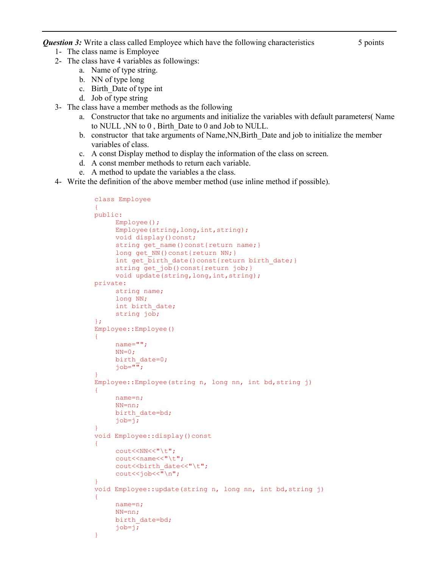*Question 3:* Write a class called Employee which have the following characteristics 5 points

- 1- The class name is Employee
- 2- The class have 4 variables as followings:
	- a. Name of type string.
	- b. NN of type long
	- c. Birth\_Date of type int
	- d. Job of type string
- 3- The class have a member methods as the following
	- a. Constructor that take no arguments and initialize the variables with default parameters( Name to NULL ,NN to 0 , Birth\_Date to 0 and Job to NULL.
	- b. constructor that take arguments of Name,NN,Birth\_Date and job to initialize the member variables of class.
	- c. A const Display method to display the information of the class on screen.
	- d. A const member methods to return each variable.
	- e. A method to update the variables a the class.
- 4- Write the definition of the above member method (use inline method if possible).

```
class Employee 
{ 
public: 
       Employee(); 
       Employee(string,long,int,string); 
      void display() const;
      string get name()const{return name; }
      long get NN()const{return NN; }
      int get birth date()const{return birth date;}
      string get_job()const{return job; }
      void update(string, long, int, string);
private: 
       string name; 
       long NN; 
      int birth date;
       string job; 
}; 
Employee::Employee() 
{ 
       name=""; 
      NN=0;birth date=0;
      job="";
} 
Employee::Employee(string n, long nn, int bd,string j) 
{ 
      name=n; 
      NN=nn; 
      birth date=bd;
      job=j;
} 
void Employee::display()const 
{ 
      cout<<NN<<"\t";
     cout<<name<<"\t";
      cout<<br/>sbirth date<<"\t";
      \text{cout} \leq \text{cob} \leq \text{c}"\n";
} 
void Employee::update(string n, long nn, int bd,string j) 
{ 
       name=n; 
       NN=nn; 
      birth date=bd;
       job=j; 
}
```